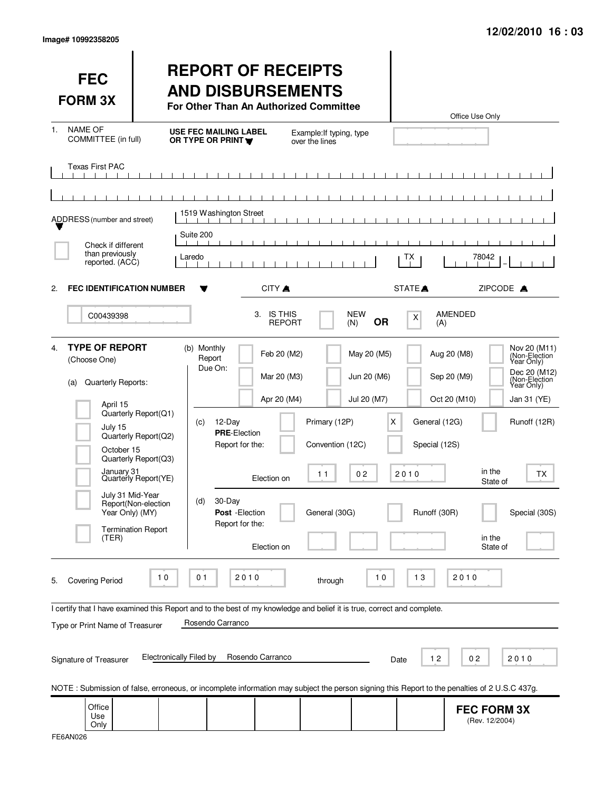| <b>FEC</b><br><b>FORM 3X</b>                                                                                                                                                                                                                                                                                                                                         |                                                                                                                                                  | <b>REPORT OF RECEIPTS</b><br><b>AND DISBURSEMENTS</b><br>For Other Than An Authorized Committee                                                    |                                                                         |                                                          |                                                                  |                                                        | Office Use Only                                                                        |                                                                                                                                     |
|----------------------------------------------------------------------------------------------------------------------------------------------------------------------------------------------------------------------------------------------------------------------------------------------------------------------------------------------------------------------|--------------------------------------------------------------------------------------------------------------------------------------------------|----------------------------------------------------------------------------------------------------------------------------------------------------|-------------------------------------------------------------------------|----------------------------------------------------------|------------------------------------------------------------------|--------------------------------------------------------|----------------------------------------------------------------------------------------|-------------------------------------------------------------------------------------------------------------------------------------|
| <b>NAME OF</b><br>1.<br>COMMITTEE (in full)                                                                                                                                                                                                                                                                                                                          |                                                                                                                                                  | <b>USE FEC MAILING LABEL</b><br>OR TYPE OR PRINT Y                                                                                                 |                                                                         | Example: If typing, type<br>over the lines               |                                                                  |                                                        |                                                                                        |                                                                                                                                     |
| <b>Texas First PAC</b>                                                                                                                                                                                                                                                                                                                                               |                                                                                                                                                  |                                                                                                                                                    |                                                                         |                                                          |                                                                  |                                                        |                                                                                        |                                                                                                                                     |
| ADDRESS (number and street)<br>Check if different                                                                                                                                                                                                                                                                                                                    |                                                                                                                                                  | 1519 Washington Street<br>Suite 200                                                                                                                |                                                                         |                                                          |                                                                  |                                                        |                                                                                        |                                                                                                                                     |
| than previously<br>reported. (ACC)                                                                                                                                                                                                                                                                                                                                   |                                                                                                                                                  | Laredo                                                                                                                                             |                                                                         |                                                          |                                                                  | ТX                                                     | 78042                                                                                  |                                                                                                                                     |
| <b>FEC IDENTIFICATION NUMBER</b><br>2.                                                                                                                                                                                                                                                                                                                               |                                                                                                                                                  |                                                                                                                                                    | CITY A                                                                  |                                                          |                                                                  | STATE <sup>A</sup>                                     | ZIPCODE A                                                                              |                                                                                                                                     |
| C00439398                                                                                                                                                                                                                                                                                                                                                            |                                                                                                                                                  |                                                                                                                                                    | <b>IS THIS</b><br>З.<br><b>REPORT</b>                                   |                                                          | NEW<br><b>OR</b><br>(N)                                          | $\boldsymbol{\mathsf{X}}$<br>(A)                       | AMENDED                                                                                |                                                                                                                                     |
| <b>TYPE OF REPORT</b><br>4.<br>(Choose One)<br>Quarterly Reports:<br>(a)<br>April 15<br>July 15<br>October 15<br>January 31<br>July 31 Mid-Year<br>Year Only) (MY)<br>(TER)                                                                                                                                                                                          | Quarterly Report(Q1)<br>Quarterly Report(Q2)<br>Quarterly Report(Q3)<br>Quarterly Report(YE)<br>Report(Non-election<br><b>Termination Report</b> | (b) Monthly<br>Report<br>Due On:<br>12-Day<br>(c)<br><b>PRE-Election</b><br>Report for the:<br>30-Day<br>(d)<br>Post - Election<br>Report for the: | Feb 20 (M2)<br>Mar 20 (M3)<br>Apr 20 (M4)<br>Election on<br>Election on | Primary (12P)<br>Convention (12C)<br>11<br>General (30G) | May 20 (M5)<br>Jun 20 (M6)<br>Jul 20 (M7)<br>X<br>0 <sub>2</sub> | General (12G)<br>Special (12S)<br>2010<br>Runoff (30R) | Aug 20 (M8)<br>Sep 20 (M9)<br>Oct 20 (M10)<br>in the<br>State of<br>in the<br>State of | Nov 20 (M11)<br>(Non-Election)<br>Dec 20 (M12)<br>(Non-Election<br>Year Only)<br>Jan 31 (YE)<br>Runoff (12R)<br>ТX<br>Special (30S) |
| <b>Covering Period</b><br>5.<br>I certify that I have examined this Report and to the best of my knowledge and belief it is true, correct and complete.<br>Type or Print Name of Treasurer<br>Signature of Treasurer<br>NOTE: Submission of false, erroneous, or incomplete information may subject the person signing this Report to the penalties of 2 U.S.C 437g. | 10<br><b>Electronically Filed by</b>                                                                                                             | 01<br>Rosendo Carranco                                                                                                                             | 2010<br>Rosendo Carranco                                                | through                                                  | 10                                                               | 13<br>12<br>Date                                       | 2010<br>0 <sub>2</sub>                                                                 | 2010                                                                                                                                |
| Office<br>Use<br>Only                                                                                                                                                                                                                                                                                                                                                |                                                                                                                                                  |                                                                                                                                                    |                                                                         |                                                          |                                                                  |                                                        | <b>FEC FORM 3X</b><br>(Rev. 12/2004)                                                   |                                                                                                                                     |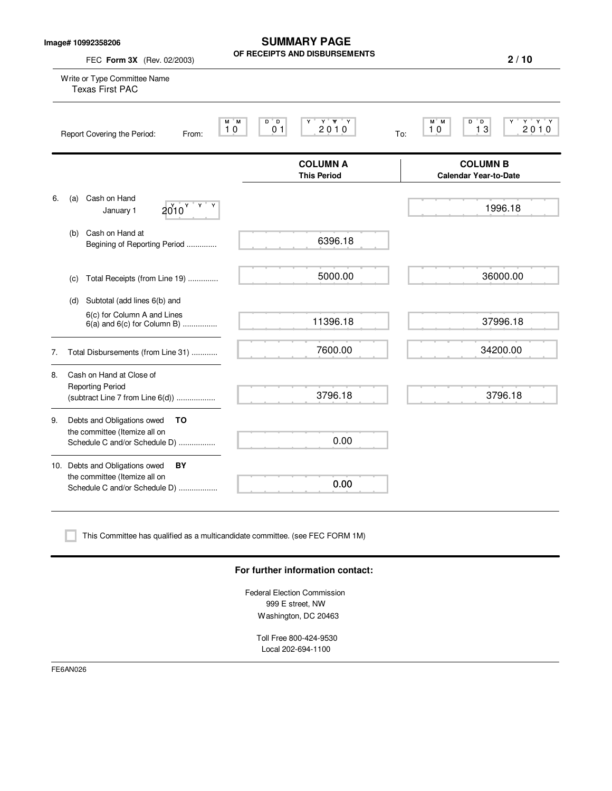**Image# 10992358206**

**SUMMARY PAGE OF RECEIPTS AND DISBURSEMENTS**

**2 / 10**

| FEC Form 3X (Rev. 02/2003)                                                                               | UF REUEIP IS AND DISBURSEMENTS                                                | 2/10                                                      |
|----------------------------------------------------------------------------------------------------------|-------------------------------------------------------------------------------|-----------------------------------------------------------|
| Write or Type Committee Name<br><b>Texas First PAC</b>                                                   |                                                                               |                                                           |
| Report Covering the Period:<br>From:                                                                     | Y Y Y<br>M M<br>D D<br>2010<br>0 <sub>1</sub><br>10                           | $Y$ $Y$ $Y$<br>M M<br>D<br>" D<br>13<br>2010<br>10<br>To: |
|                                                                                                          | <b>COLUMN A</b><br><b>This Period</b>                                         | <b>COLUMN B</b><br><b>Calendar Year-to-Date</b>           |
| Cash on Hand<br>6.<br>(a)<br>$2010$ $VV$<br>Y<br>January 1                                               |                                                                               | 1996.18                                                   |
| Cash on Hand at<br>(b)<br>Begining of Reporting Period                                                   | 6396.18                                                                       |                                                           |
| Total Receipts (from Line 19)<br>(c)                                                                     | 5000.00                                                                       | 36000.00                                                  |
| Subtotal (add lines 6(b) and<br>(d)                                                                      |                                                                               |                                                           |
| 6(c) for Column A and Lines<br>$6(a)$ and $6(c)$ for Column B)                                           | 11396.18                                                                      | 37996.18                                                  |
| Total Disbursements (from Line 31)<br>7.                                                                 | 7600.00                                                                       | 34200.00                                                  |
| Cash on Hand at Close of<br>8.<br><b>Reporting Period</b><br>(subtract Line 7 from Line 6(d))            | 3796.18                                                                       | 3796.18                                                   |
| Debts and Obligations owed<br>то<br>9.<br>the committee (Itemize all on<br>Schedule C and/or Schedule D) | 0.00                                                                          |                                                           |
| 10. Debts and Obligations owed<br>BY<br>the committee (Itemize all on<br>Schedule C and/or Schedule D)   | 0.00                                                                          |                                                           |
|                                                                                                          | This Committee has qualified as a multicandidate committee. (see FEC FORM 1M) |                                                           |
|                                                                                                          | For further information contact:                                              |                                                           |
|                                                                                                          | Federal Election Commission                                                   |                                                           |

999 E street, NW Washington, DC 20463

Toll Free 800-424-9530 Local 202-694-1100

FE6AN026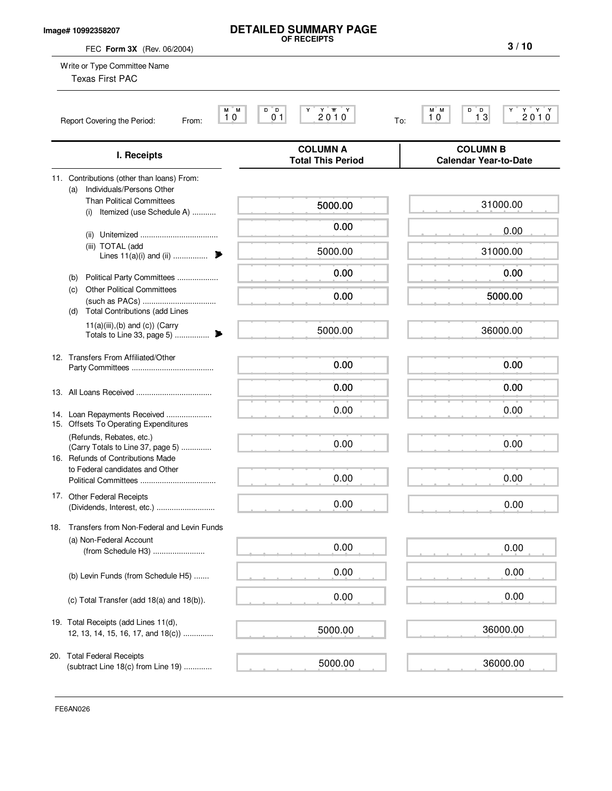### **Image# 10992358207**

# **DETAILED SUMMARY PAGE OF RECEIPTS**

**3 / 10**

| FEC Form 3X (Rev. 06/2004)                                                                         |                                             | 3/10                                                                                                                                                        |
|----------------------------------------------------------------------------------------------------|---------------------------------------------|-------------------------------------------------------------------------------------------------------------------------------------------------------------|
| Write or Type Committee Name<br><b>Texas First PAC</b>                                             |                                             |                                                                                                                                                             |
| M M<br>10<br>Report Covering the Period:<br>From:                                                  | 2010<br>D D<br>0 <sub>1</sub>               | $\begin{array}{c} \begin{array}{c} \mathbf{Y} & \mathbf{Y} \\ 2 & 0 & 1 \end{array} \\ \mathbf{0} \end{array}$<br>M M<br>D D<br>1 <sup>3</sup><br>10<br>To: |
| I. Receipts                                                                                        | <b>COLUMN A</b><br><b>Total This Period</b> | <b>COLUMN B</b><br><b>Calendar Year-to-Date</b>                                                                                                             |
| 11. Contributions (other than loans) From:<br>Individuals/Persons Other<br>(a)                     |                                             |                                                                                                                                                             |
| <b>Than Political Committees</b><br>Itemized (use Schedule A)<br>(i)                               | 5000.00                                     | 31000.00                                                                                                                                                    |
|                                                                                                    | 0.00                                        | 0.00                                                                                                                                                        |
| (iii) TOTAL (add<br>Lines $11(a)(i)$ and $(ii)$<br>₱                                               | 5000.00                                     | 31000.00                                                                                                                                                    |
| Political Party Committees<br>(b)                                                                  | 0.00                                        | 0.00                                                                                                                                                        |
| <b>Other Political Committees</b><br>(c)<br><b>Total Contributions (add Lines</b><br>(d)           | 0.00                                        | 5000.00                                                                                                                                                     |
| $11(a)(iii),(b)$ and $(c)$ ) (Carry<br>▶<br>Totals to Line 33, page 5)                             | 5000.00                                     | 36000.00                                                                                                                                                    |
| 12. Transfers From Affiliated/Other                                                                | 0.00                                        | 0.00                                                                                                                                                        |
|                                                                                                    | 0.00                                        | 0.00                                                                                                                                                        |
| 14. Loan Repayments Received<br>15. Offsets To Operating Expenditures                              | 0.00                                        | 0.00                                                                                                                                                        |
| (Refunds, Rebates, etc.)<br>(Carry Totals to Line 37, page 5)<br>16. Refunds of Contributions Made | 0.00                                        | 0.00                                                                                                                                                        |
| to Federal candidates and Other                                                                    | 0.00                                        | 0.00                                                                                                                                                        |
| 17. Other Federal Receipts<br>(Dividends, Interest, etc.)                                          | 0.00                                        | 0.00                                                                                                                                                        |
| Transfers from Non-Federal and Levin Funds<br>18.                                                  |                                             |                                                                                                                                                             |
| (a) Non-Federal Account<br>(from Schedule H3)                                                      | 0.00                                        | 0.00                                                                                                                                                        |
| (b) Levin Funds (from Schedule H5)                                                                 | 0.00                                        | 0.00                                                                                                                                                        |
| (c) Total Transfer (add 18(a) and 18(b)).                                                          | 0.00                                        | 0.00                                                                                                                                                        |
| 19. Total Receipts (add Lines 11(d),<br>12, 13, 14, 15, 16, 17, and $18(c)$ )                      | 5000.00                                     | 36000.00                                                                                                                                                    |
| 20. Total Federal Receipts<br>(subtract Line 18(c) from Line 19)                                   | 5000.00                                     | 36000.00                                                                                                                                                    |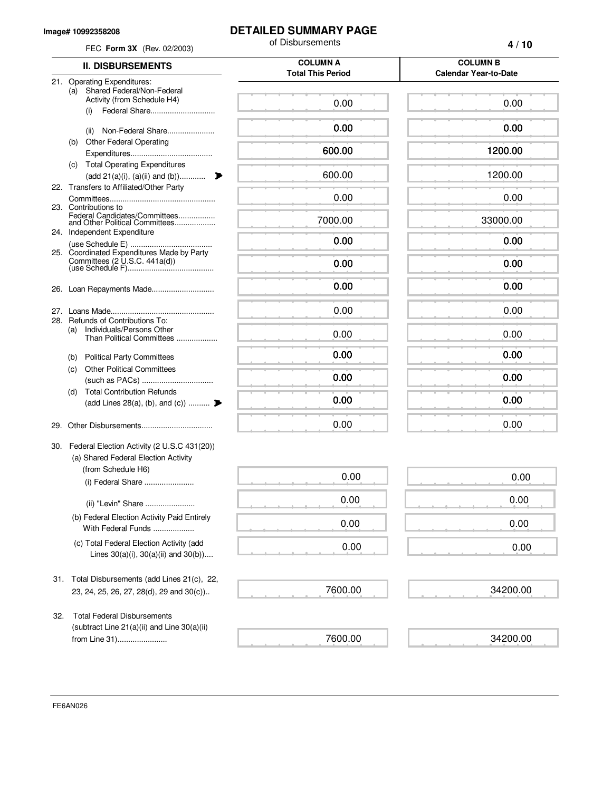#### **Image# 10992358208**

## **DETAILED SUMMARY PAGE**

|     | FEC Form 3X (Rev. 02/2003)                                                                    | of Disbursements                            | 4/10                                            |
|-----|-----------------------------------------------------------------------------------------------|---------------------------------------------|-------------------------------------------------|
|     | <b>II. DISBURSEMENTS</b>                                                                      | <b>COLUMN A</b><br><b>Total This Period</b> | <b>COLUMN B</b><br><b>Calendar Year-to-Date</b> |
|     | 21. Operating Expenditures:<br>Shared Federal/Non-Federal<br>(a)                              |                                             |                                                 |
|     | Activity (from Schedule H4)<br>(i)                                                            | 0.00                                        | 0.00                                            |
|     | Non-Federal Share<br>(ii)                                                                     | 0.00                                        | 0.00                                            |
|     | <b>Other Federal Operating</b><br>(b)                                                         |                                             | 1200.00                                         |
|     | (c) Total Operating Expenditures                                                              | 600.00                                      |                                                 |
|     | (add 21(a)(i), (a)(ii) and (b))                                                               | 600.00                                      | 1200.00                                         |
|     | 22. Transfers to Affiliated/Other Party                                                       |                                             |                                                 |
|     | 23. Contributions to                                                                          | 0.00                                        | 0.00                                            |
|     | Federal Candidates/Committees<br>and Other Political Committees                               | 7000.00                                     | 33000.00                                        |
|     | 24. Independent Expenditure                                                                   | 0.00                                        | 0.00                                            |
|     | 25. Coordinated Expenditures Made by Party                                                    |                                             |                                                 |
|     |                                                                                               | 0.00                                        | 0.00                                            |
| 26. | Loan Repayments Made                                                                          | 0.00                                        | 0.00                                            |
| 27. |                                                                                               | 0.00                                        | 0.00                                            |
| 28. | Refunds of Contributions To:<br>Individuals/Persons Other<br>(a)<br>Than Political Committees | 0.00                                        | 0.00                                            |
|     | <b>Political Party Committees</b><br>(b)                                                      | 0.00                                        | 0.00                                            |
|     | <b>Other Political Committees</b><br>(c)                                                      |                                             |                                                 |
|     |                                                                                               | 0.00                                        | 0.00                                            |
|     | <b>Total Contribution Refunds</b><br>(d)<br>(add Lines 28(a), (b), and (c))                   | 0.00                                        | 0.00                                            |
|     |                                                                                               |                                             |                                                 |
|     |                                                                                               | 0.00                                        | 0.00                                            |
|     | 30. Federal Election Activity (2 U.S.C 431(20))<br>(a) Shared Federal Election Activity       |                                             |                                                 |
|     | (from Schedule H6)                                                                            |                                             |                                                 |
|     | (i) Federal Share                                                                             | 0.00                                        | 0.00                                            |
|     | (ii) "Levin" Share                                                                            | 0.00                                        | 0.00                                            |
|     | (b) Federal Election Activity Paid Entirely<br>With Federal Funds                             | 0.00                                        | 0.00                                            |
|     | (c) Total Federal Election Activity (add<br>Lines $30(a)(i)$ , $30(a)(ii)$ and $30(b)$ )      | 0.00                                        | 0.00                                            |
| 31. | Total Disbursements (add Lines 21(c), 22,                                                     |                                             |                                                 |
|     | 23, 24, 25, 26, 27, 28(d), 29 and 30(c))                                                      | 7600.00                                     | 34200.00                                        |
| 32. | <b>Total Federal Disbursements</b>                                                            |                                             |                                                 |
|     | (subtract Line $21(a)(ii)$ and Line $30(a)(ii)$<br>from Line 31)                              | 7600.00                                     | 34200.00                                        |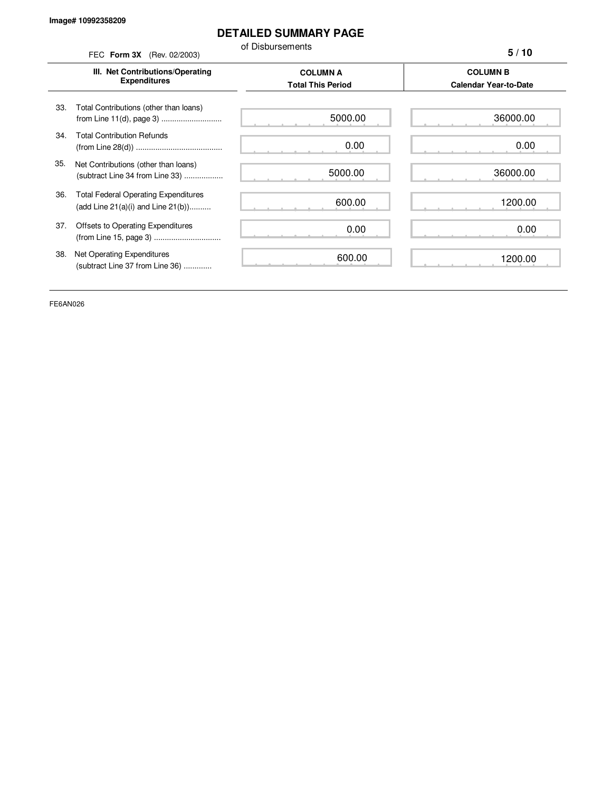## **DETAILED SUMMARY PAGE**

of Disbursements FEC **Form 3X** (Rev. 02/2003)

**5 / 10**

|     | III. Net Contributions/Operating<br><b>Expenditures</b>                                | <b>COLUMN A</b><br><b>Total This Period</b> | <b>COLUMN B</b><br><b>Calendar Year-to-Date</b> |
|-----|----------------------------------------------------------------------------------------|---------------------------------------------|-------------------------------------------------|
| 33. | Total Contributions (other than loans)                                                 | 5000.00                                     | 36000.00                                        |
| 34. | <b>Total Contribution Refunds</b>                                                      | 0.00                                        | 0.00                                            |
| 35. | Net Contributions (other than loans)<br>(subtract Line 34 from Line 33)                | 5000.00                                     | 36000.00                                        |
| 36. | <b>Total Federal Operating Expenditures</b><br>(add Line $21(a)(i)$ and Line $21(b)$ ) | 600.00                                      | 1200.00                                         |
| 37. | Offsets to Operating Expenditures                                                      | 0.00                                        | 0.00                                            |
| 38. | Net Operating Expenditures<br>(subtract Line 37 from Line 36)                          | 600.00                                      | 1200.00                                         |

FE6AN026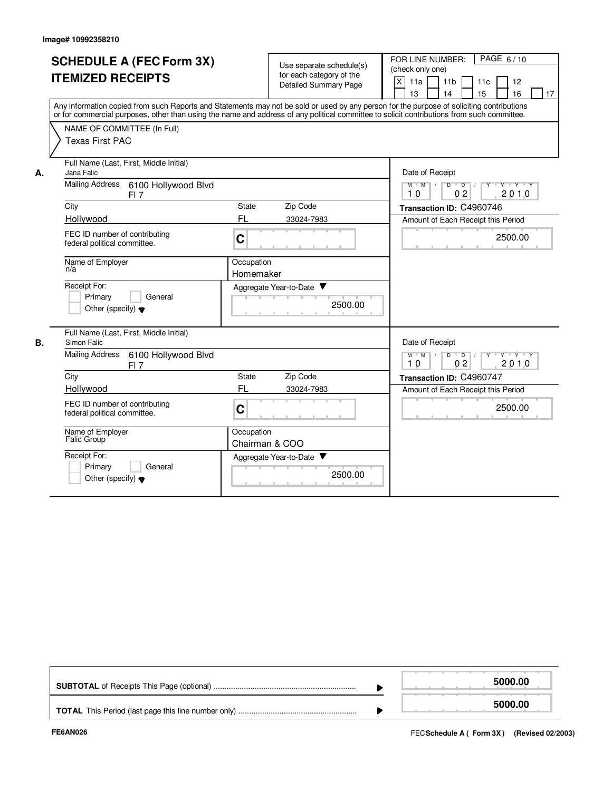|    | <b>SCHEDULE A (FEC Form 3X)</b><br><b>ITEMIZED RECEIPTS</b><br>Any information copied from such Reports and Statements may not be sold or used by any person for the purpose of soliciting contributions<br>or for commercial purposes, other than using the name and address of any political committee to solicit contributions from such committee.<br>NAME OF COMMITTEE (In Full)<br><b>Texas First PAC</b> |                            | Use separate schedule(s)<br>for each category of the<br><b>Detailed Summary Page</b> | PAGE 6/10<br>FOR LINE NUMBER:<br>(check only one)<br>$\pmb{\times}$<br>11a<br>11 <sub>b</sub><br>11c<br>12<br>14<br>13<br>15<br>16<br>17                                  |
|----|-----------------------------------------------------------------------------------------------------------------------------------------------------------------------------------------------------------------------------------------------------------------------------------------------------------------------------------------------------------------------------------------------------------------|----------------------------|--------------------------------------------------------------------------------------|---------------------------------------------------------------------------------------------------------------------------------------------------------------------------|
| А. | Full Name (Last, First, Middle Initial)<br>Jana Falic<br><b>Mailing Address</b><br>6100 Hollywood Blvd<br>FI <sub>7</sub><br>City<br>Hollywood<br>FEC ID number of contributing                                                                                                                                                                                                                                 | State<br>FL<br>C           | Zip Code<br>33024-7983                                                               | Date of Receipt<br>Y Y Y Y<br>$M$ $M$<br>D<br>$\overline{D}$<br>2010<br>10<br>0 <sub>2</sub><br>Transaction ID: C4960746<br>Amount of Each Receipt this Period<br>2500.00 |
|    | federal political committee.<br>Name of Employer<br>n/a<br>Receipt For:<br>Primary<br>General<br>Other (specify) $\blacktriangledown$                                                                                                                                                                                                                                                                           | Occupation<br>Homemaker    | Aggregate Year-to-Date<br>2500.00                                                    |                                                                                                                                                                           |
| В. | Full Name (Last, First, Middle Initial)<br>Simon Falic<br>6100 Hollywood Blvd<br>Mailing Address<br>$FI$ 7<br>City<br>Hollywood<br>FEC ID number of contributing<br>federal political committee.                                                                                                                                                                                                                | State<br>FL<br>$\mathbf C$ | Zip Code<br>33024-7983                                                               | Date of Receipt<br>$D$ $D$ $/$<br>Y<br>$Y - Y - Y$<br>$M$ $M$ /<br>2010<br>10<br>02<br>Transaction ID: C4960747<br>Amount of Each Receipt this Period<br>2500.00          |
|    | Name of Employer<br>Falic Group<br>Receipt For:<br>Primary<br>General<br>Other (specify) $\blacktriangledown$                                                                                                                                                                                                                                                                                                   | Occupation                 | Chairman & COO<br>Aggregate Year-to-Date<br>2500.00                                  |                                                                                                                                                                           |

|  | 5000.00 |
|--|---------|
|  | 5000.00 |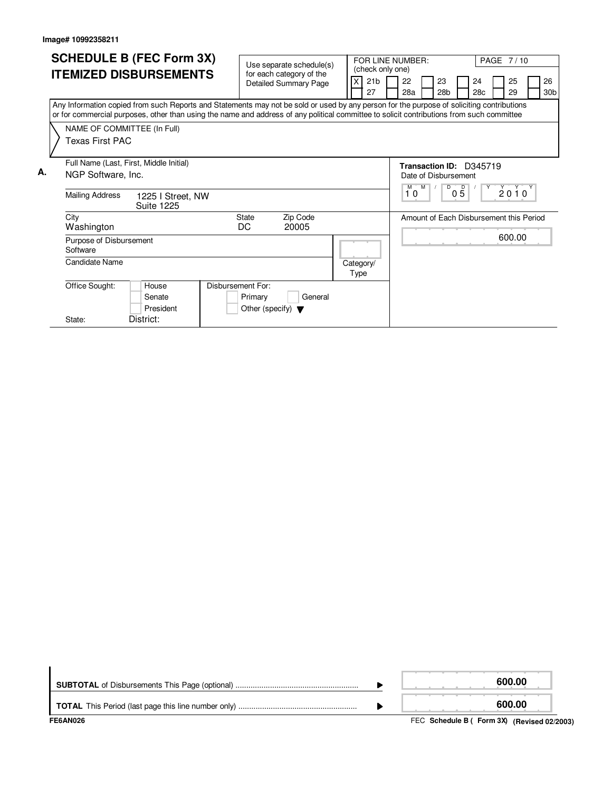| <b>SCHEDULE B (FEC Form 3X)</b> |                                                                                                                                                                                                                                                                                        |                   |                                                                      | Use separate schedule(s)                                 | (check only one)      | FOR LINE NUMBER:<br>PAGE 7/10 |                                                            |  |                       |                 |           |  |                                         |                       |
|---------------------------------|----------------------------------------------------------------------------------------------------------------------------------------------------------------------------------------------------------------------------------------------------------------------------------------|-------------------|----------------------------------------------------------------------|----------------------------------------------------------|-----------------------|-------------------------------|------------------------------------------------------------|--|-----------------------|-----------------|-----------|--|-----------------------------------------|-----------------------|
|                                 | <b>ITEMIZED DISBURSEMENTS</b>                                                                                                                                                                                                                                                          |                   |                                                                      | for each category of the<br><b>Detailed Summary Page</b> | 21 <sub>b</sub><br>27 |                               | 22<br>28a                                                  |  | 23<br>28 <sub>b</sub> |                 | 24<br>28c |  | 25<br>29                                | 26<br>30 <sub>b</sub> |
|                                 | Any Information copied from such Reports and Statements may not be sold or used by any person for the purpose of soliciting contributions<br>or for commercial purposes, other than using the name and address of any political committee to solicit contributions from such committee |                   |                                                                      |                                                          |                       |                               |                                                            |  |                       |                 |           |  |                                         |                       |
|                                 | NAME OF COMMITTEE (In Full)<br>Texas First PAC                                                                                                                                                                                                                                         |                   |                                                                      |                                                          |                       |                               |                                                            |  |                       |                 |           |  |                                         |                       |
| А.                              | Full Name (Last, First, Middle Initial)<br>NGP Software, Inc.                                                                                                                                                                                                                          |                   |                                                                      |                                                          |                       |                               | Transaction ID: D345719<br>Date of Disbursement<br>$M$ $M$ |  | D                     |                 |           |  |                                         |                       |
|                                 | <b>Mailing Address</b><br><b>Suite 1225</b>                                                                                                                                                                                                                                            | 1225 I Street, NW |                                                                      |                                                          |                       |                               | 10                                                         |  |                       | $0\overline{5}$ |           |  | $2010^y$                                |                       |
|                                 | City<br>Washington                                                                                                                                                                                                                                                                     |                   | <b>State</b><br>DC                                                   | Zip Code<br>20005                                        |                       |                               |                                                            |  |                       |                 |           |  | Amount of Each Disbursement this Period |                       |
|                                 | Purpose of Disbursement<br>Software                                                                                                                                                                                                                                                    |                   |                                                                      |                                                          |                       |                               |                                                            |  |                       |                 |           |  | 600.00                                  |                       |
|                                 | <b>Candidate Name</b>                                                                                                                                                                                                                                                                  |                   |                                                                      |                                                          | Category/<br>Type     |                               |                                                            |  |                       |                 |           |  |                                         |                       |
|                                 | Office Sought:<br>House<br>Senate<br>President                                                                                                                                                                                                                                         |                   | Disbursement For:<br>Primary<br>Other (specify) $\blacktriangledown$ | General                                                  |                       |                               |                                                            |  |                       |                 |           |  |                                         |                       |
|                                 | District:<br>State:                                                                                                                                                                                                                                                                    |                   |                                                                      |                                                          |                       |                               |                                                            |  |                       |                 |           |  |                                         |                       |

| FE6AN026 | FEC Schedule B ( Form 3X) (Revised 02/2003) |
|----------|---------------------------------------------|
|          | 600.00                                      |
|          | 600.00                                      |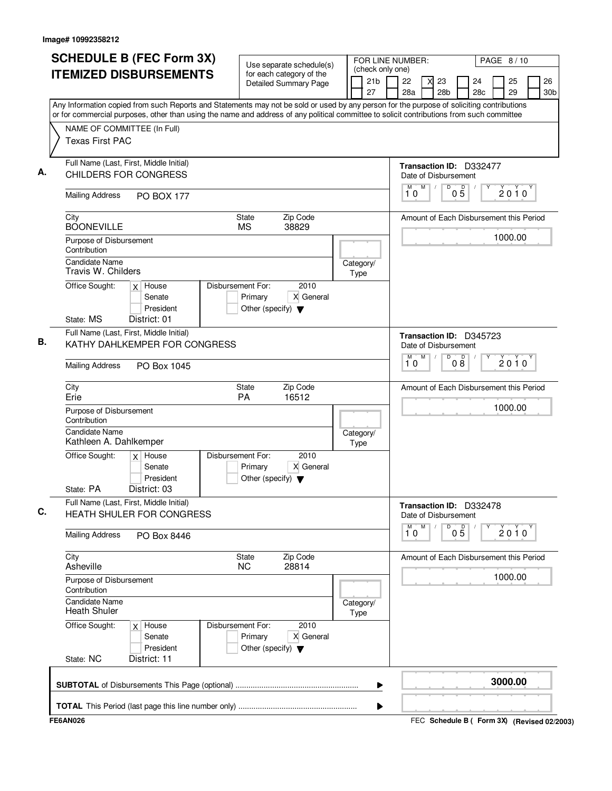| <b>SCHEDULE B (FEC Form 3X)</b>                                                                                                           | Use separate schedule(s)                                                                  | FOR LINE NUMBER:                                                                                         |                                                 | PAGE 8/10                                   |  |  |
|-------------------------------------------------------------------------------------------------------------------------------------------|-------------------------------------------------------------------------------------------|----------------------------------------------------------------------------------------------------------|-------------------------------------------------|---------------------------------------------|--|--|
| <b>ITEMIZED DISBURSEMENTS</b>                                                                                                             | for each category of the<br><b>Detailed Summary Page</b>                                  | (check only one)<br>21 <sub>b</sub><br>22<br>23<br>24<br>27<br>28a<br>28 <sub>b</sub><br>28 <sub>c</sub> |                                                 | 26<br>25<br>29<br>30 <sub>b</sub>           |  |  |
| Any Information copied from such Reports and Statements may not be sold or used by any person for the purpose of soliciting contributions |                                                                                           |                                                                                                          |                                                 |                                             |  |  |
| or for commercial purposes, other than using the name and address of any political committee to solicit contributions from such committee |                                                                                           |                                                                                                          |                                                 |                                             |  |  |
| NAME OF COMMITTEE (In Full)<br><b>Texas First PAC</b>                                                                                     |                                                                                           |                                                                                                          |                                                 |                                             |  |  |
| Full Name (Last, First, Middle Initial)                                                                                                   |                                                                                           |                                                                                                          | Transaction ID: D332477                         |                                             |  |  |
| CHILDERS FOR CONGRESS                                                                                                                     |                                                                                           |                                                                                                          | Date of Disbursement                            |                                             |  |  |
| <b>Mailing Address</b><br><b>PO BOX 177</b>                                                                                               |                                                                                           |                                                                                                          | M<br>D<br>М<br>10                               | $0\overline{5}$<br>$2010^y$                 |  |  |
| City<br><b>BOONEVILLE</b>                                                                                                                 | Zip Code<br><b>State</b><br><b>MS</b><br>38829                                            |                                                                                                          |                                                 | Amount of Each Disbursement this Period     |  |  |
| Purpose of Disbursement<br>Contribution                                                                                                   |                                                                                           |                                                                                                          |                                                 | 1000.00                                     |  |  |
| <b>Candidate Name</b><br>Travis W. Childers                                                                                               |                                                                                           | Category/<br>Type                                                                                        |                                                 |                                             |  |  |
| Office Sought:<br>$x$ House<br>Senate<br>President<br>State: MS<br>District: 01                                                           | Disbursement For:<br>2010<br>X General<br>Primary<br>Other (specify) $\blacktriangledown$ |                                                                                                          |                                                 |                                             |  |  |
| Full Name (Last, First, Middle Initial)<br>KATHY DAHLKEMPER FOR CONGRESS                                                                  |                                                                                           |                                                                                                          | Transaction ID: D345723<br>Date of Disbursement |                                             |  |  |
| <b>Mailing Address</b><br>PO Box 1045                                                                                                     |                                                                                           |                                                                                                          |                                                 |                                             |  |  |
| City<br>Erie                                                                                                                              | Zip Code<br>State<br>16512<br><b>PA</b>                                                   |                                                                                                          |                                                 | Amount of Each Disbursement this Period     |  |  |
| Purpose of Disbursement<br>Contribution                                                                                                   |                                                                                           |                                                                                                          | 1000.00                                         |                                             |  |  |
| Candidate Name<br>Kathleen A. Dahlkemper                                                                                                  | Category/<br>Type                                                                         |                                                                                                          |                                                 |                                             |  |  |
| $x$ House<br>Office Sought:<br>Senate<br>President<br>State: PA<br>District: 03                                                           | Disbursement For:<br>2010<br>X General<br>Primary<br>Other (specify) $\blacktriangledown$ |                                                                                                          |                                                 |                                             |  |  |
| Full Name (Last, First, Middle Initial)<br><b>HEATH SHULER FOR CONGRESS</b>                                                               |                                                                                           |                                                                                                          | Transaction ID: D332478<br>Date of Disbursement |                                             |  |  |
| <b>Mailing Address</b><br>PO Box 8446                                                                                                     |                                                                                           |                                                                                                          | M<br>D<br>10                                    | 05<br>2010                                  |  |  |
| City<br>Asheville                                                                                                                         | Zip Code<br>State<br>28814<br><b>NC</b>                                                   |                                                                                                          |                                                 | Amount of Each Disbursement this Period     |  |  |
| Purpose of Disbursement<br>Contribution                                                                                                   |                                                                                           |                                                                                                          |                                                 | 1000.00                                     |  |  |
| <b>Candidate Name</b><br><b>Heath Shuler</b>                                                                                              |                                                                                           | Category/<br>Type                                                                                        |                                                 |                                             |  |  |
| Office Sought:<br>$x$ House<br>Senate<br>President<br>State: NC<br>District: 11                                                           | 2010<br>Disbursement For:<br>Primary<br>X General<br>Other (specify) $\blacktriangledown$ |                                                                                                          |                                                 |                                             |  |  |
|                                                                                                                                           |                                                                                           | ▶                                                                                                        |                                                 | 3000.00                                     |  |  |
|                                                                                                                                           |                                                                                           | ▶                                                                                                        |                                                 |                                             |  |  |
| <b>FE6AN026</b>                                                                                                                           |                                                                                           |                                                                                                          |                                                 | FEC Schedule B ( Form 3X) (Revised 02/2003) |  |  |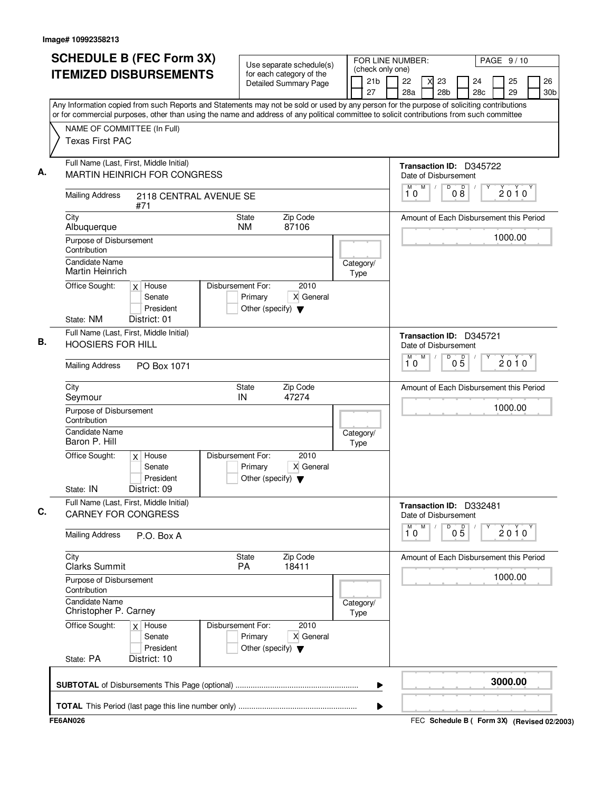| NAME OF COMMITTEE (In Full)<br><b>Texas First PAC</b><br>Full Name (Last, First, Middle Initial)<br><b>Mailing Address</b><br>City<br>Albuquerque<br>Purpose of Disbursement<br>Contribution<br><b>Candidate Name</b><br>Martin Heinrich<br>Office Sought:<br>State: NM<br>Full Name (Last, First, Middle Initial)<br><b>HOOSIERS FOR HILL</b><br><b>Mailing Address</b><br>City<br>Seymour<br>Purpose of Disbursement<br>Contribution<br><b>Candidate Name</b><br>Baron P. Hill<br>Office Sought: | MARTIN HEINRICH FOR CONGRESS<br>2118 CENTRAL AVENUE SE<br>#71<br>$x$ House<br>Senate<br>President<br>District: 01<br>PO Box 1071 | <b>State</b><br><b>NM</b><br>Disbursement For:<br>Primary<br>Other (specify) $\blacktriangledown$ | Zip Code<br>87106<br>2010<br>X General | Category/<br>Type | Any Information copied from such Reports and Statements may not be sold or used by any person for the purpose of soliciting contributions<br>or for commercial purposes, other than using the name and address of any political committee to solicit contributions from such committee<br>Transaction ID: D345722<br>Date of Disbursement<br>D<br>0 <sup>0</sup><br>M<br>$\sqrt{2}$<br>М<br>$2010^y$<br>10<br>Amount of Each Disbursement this Period<br>1000.00<br>Transaction ID: D345721<br>Date of Disbursement<br>M<br>$\overline{D}$<br>$0\overline{5}$<br>М<br>$2010^y$<br>10 |
|----------------------------------------------------------------------------------------------------------------------------------------------------------------------------------------------------------------------------------------------------------------------------------------------------------------------------------------------------------------------------------------------------------------------------------------------------------------------------------------------------|----------------------------------------------------------------------------------------------------------------------------------|---------------------------------------------------------------------------------------------------|----------------------------------------|-------------------|--------------------------------------------------------------------------------------------------------------------------------------------------------------------------------------------------------------------------------------------------------------------------------------------------------------------------------------------------------------------------------------------------------------------------------------------------------------------------------------------------------------------------------------------------------------------------------------|
|                                                                                                                                                                                                                                                                                                                                                                                                                                                                                                    |                                                                                                                                  |                                                                                                   |                                        |                   |                                                                                                                                                                                                                                                                                                                                                                                                                                                                                                                                                                                      |
|                                                                                                                                                                                                                                                                                                                                                                                                                                                                                                    |                                                                                                                                  |                                                                                                   |                                        |                   |                                                                                                                                                                                                                                                                                                                                                                                                                                                                                                                                                                                      |
|                                                                                                                                                                                                                                                                                                                                                                                                                                                                                                    |                                                                                                                                  |                                                                                                   |                                        |                   |                                                                                                                                                                                                                                                                                                                                                                                                                                                                                                                                                                                      |
|                                                                                                                                                                                                                                                                                                                                                                                                                                                                                                    |                                                                                                                                  |                                                                                                   |                                        |                   |                                                                                                                                                                                                                                                                                                                                                                                                                                                                                                                                                                                      |
|                                                                                                                                                                                                                                                                                                                                                                                                                                                                                                    |                                                                                                                                  |                                                                                                   |                                        |                   |                                                                                                                                                                                                                                                                                                                                                                                                                                                                                                                                                                                      |
|                                                                                                                                                                                                                                                                                                                                                                                                                                                                                                    |                                                                                                                                  |                                                                                                   |                                        |                   |                                                                                                                                                                                                                                                                                                                                                                                                                                                                                                                                                                                      |
|                                                                                                                                                                                                                                                                                                                                                                                                                                                                                                    |                                                                                                                                  |                                                                                                   |                                        |                   |                                                                                                                                                                                                                                                                                                                                                                                                                                                                                                                                                                                      |
|                                                                                                                                                                                                                                                                                                                                                                                                                                                                                                    |                                                                                                                                  |                                                                                                   |                                        |                   |                                                                                                                                                                                                                                                                                                                                                                                                                                                                                                                                                                                      |
|                                                                                                                                                                                                                                                                                                                                                                                                                                                                                                    |                                                                                                                                  |                                                                                                   |                                        |                   |                                                                                                                                                                                                                                                                                                                                                                                                                                                                                                                                                                                      |
|                                                                                                                                                                                                                                                                                                                                                                                                                                                                                                    |                                                                                                                                  |                                                                                                   |                                        |                   |                                                                                                                                                                                                                                                                                                                                                                                                                                                                                                                                                                                      |
|                                                                                                                                                                                                                                                                                                                                                                                                                                                                                                    |                                                                                                                                  | State<br>IN                                                                                       | Zip Code<br>47274                      |                   | Amount of Each Disbursement this Period                                                                                                                                                                                                                                                                                                                                                                                                                                                                                                                                              |
|                                                                                                                                                                                                                                                                                                                                                                                                                                                                                                    |                                                                                                                                  |                                                                                                   |                                        | Category/         | 1000.00                                                                                                                                                                                                                                                                                                                                                                                                                                                                                                                                                                              |
| State: IN                                                                                                                                                                                                                                                                                                                                                                                                                                                                                          | $x$ House<br>Senate<br>President<br>District: 09                                                                                 | Disbursement For:<br>Primary<br>Other (specify) $\blacktriangledown$                              | 2010<br>X General                      | Type              |                                                                                                                                                                                                                                                                                                                                                                                                                                                                                                                                                                                      |
| Full Name (Last, First, Middle Initial)<br><b>CARNEY FOR CONGRESS</b>                                                                                                                                                                                                                                                                                                                                                                                                                              |                                                                                                                                  |                                                                                                   |                                        |                   | Transaction ID: D332481<br>Date of Disbursement                                                                                                                                                                                                                                                                                                                                                                                                                                                                                                                                      |
| <b>Mailing Address</b>                                                                                                                                                                                                                                                                                                                                                                                                                                                                             | P.O. Box A                                                                                                                       |                                                                                                   |                                        |                   | M<br>M<br>D<br>$0\overline{5}$<br>$2010^y$<br>10                                                                                                                                                                                                                                                                                                                                                                                                                                                                                                                                     |
| City<br><b>Clarks Summit</b>                                                                                                                                                                                                                                                                                                                                                                                                                                                                       |                                                                                                                                  | State<br><b>PA</b>                                                                                | Zip Code<br>18411                      |                   | Amount of Each Disbursement this Period                                                                                                                                                                                                                                                                                                                                                                                                                                                                                                                                              |
| Purpose of Disbursement<br>Contribution                                                                                                                                                                                                                                                                                                                                                                                                                                                            |                                                                                                                                  |                                                                                                   |                                        |                   | 1000.00                                                                                                                                                                                                                                                                                                                                                                                                                                                                                                                                                                              |
| <b>Candidate Name</b><br>Christopher P. Carney                                                                                                                                                                                                                                                                                                                                                                                                                                                     |                                                                                                                                  |                                                                                                   |                                        | Category/<br>Type |                                                                                                                                                                                                                                                                                                                                                                                                                                                                                                                                                                                      |
| Office Sought:<br>State: PA                                                                                                                                                                                                                                                                                                                                                                                                                                                                        | $x$ House<br>Senate<br>President<br>District: 10                                                                                 | Disbursement For:<br>Primary<br>Other (specify) $\blacktriangledown$                              | 2010<br>X General                      |                   |                                                                                                                                                                                                                                                                                                                                                                                                                                                                                                                                                                                      |
|                                                                                                                                                                                                                                                                                                                                                                                                                                                                                                    |                                                                                                                                  |                                                                                                   |                                        | ▶                 | 3000.00                                                                                                                                                                                                                                                                                                                                                                                                                                                                                                                                                                              |

FEC **Schedule B ( ) Form 3X FE6AN026 (Revised 02/2003)**